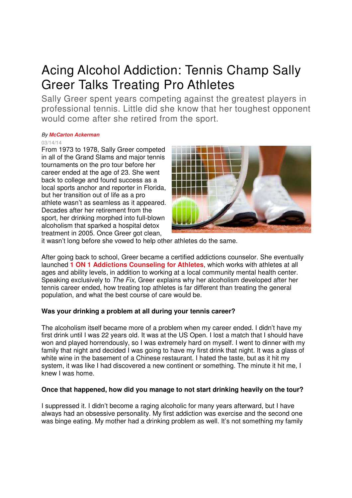# Acing Alcohol Addiction: Tennis Champ Sally Greer Talks Treating Pro Athletes

Sally Greer spent years competing against the greatest players in professional tennis. Little did she know that her toughest opponent would come after she retired from the sport.

#### By **McCarton Ackerman**

03/14/14

From 1973 to 1978, Sally Greer competed in all of the Grand Slams and major tennis tournaments on the pro tour before her career ended at the age of 23. She went back to college and found success as a local sports anchor and reporter in Florida, but her transition out of life as a pro athlete wasn't as seamless as it appeared. Decades after her retirement from the sport, her drinking morphed into full-blown alcoholism that sparked a hospital detox treatment in 2005. Once Greer got clean,



it wasn't long before she vowed to help other athletes do the same.

After going back to school, Greer became a certified addictions counselor. She eventually launched **1 ON 1 Addictions Counseling for Athletes**, which works with athletes at all ages and ability levels, in addition to working at a local community mental health center. Speaking exclusively to The Fix, Greer explains why her alcoholism developed after her tennis career ended, how treating top athletes is far different than treating the general population, and what the best course of care would be.

### **Was your drinking a problem at all during your tennis career?**

The alcoholism itself became more of a problem when my career ended. I didn't have my first drink until I was 22 years old. It was at the US Open. I lost a match that I should have won and played horrendously, so I was extremely hard on myself. I went to dinner with my family that night and decided I was going to have my first drink that night. It was a glass of white wine in the basement of a Chinese restaurant. I hated the taste, but as it hit my system, it was like I had discovered a new continent or something. The minute it hit me, I knew I was home.

## **Once that happened, how did you manage to not start drinking heavily on the tour?**

I suppressed it. I didn't become a raging alcoholic for many years afterward, but I have always had an obsessive personality. My first addiction was exercise and the second one was binge eating. My mother had a drinking problem as well. It's not something my family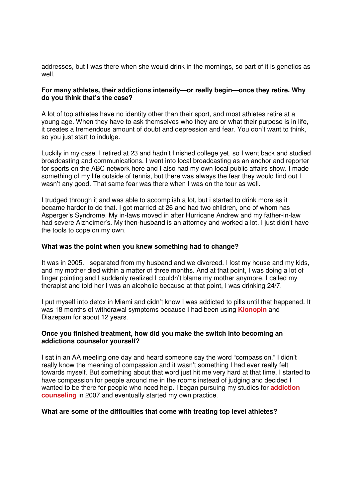addresses, but I was there when she would drink in the mornings, so part of it is genetics as well.

#### **For many athletes, their addictions intensify—or really begin—once they retire. Why do you think that's the case?**

A lot of top athletes have no identity other than their sport, and most athletes retire at a young age. When they have to ask themselves who they are or what their purpose is in life, it creates a tremendous amount of doubt and depression and fear. You don't want to think, so you just start to indulge.

Luckily in my case, I retired at 23 and hadn't finished college yet, so I went back and studied broadcasting and communications. I went into local broadcasting as an anchor and reporter for sports on the ABC network here and I also had my own local public affairs show. I made something of my life outside of tennis, but there was always the fear they would find out I wasn't any good. That same fear was there when I was on the tour as well.

I trudged through it and was able to accomplish a lot, but i started to drink more as it became harder to do that. I got married at 26 and had two children, one of whom has Asperger's Syndrome. My in-laws moved in after Hurricane Andrew and my father-in-law had severe Alzheimer's. My then-husband is an attorney and worked a lot. I just didn't have the tools to cope on my own.

#### **What was the point when you knew something had to change?**

It was in 2005. I separated from my husband and we divorced. I lost my house and my kids, and my mother died within a matter of three months. And at that point, I was doing a lot of finger pointing and I suddenly realized I couldn't blame my mother anymore. I called my therapist and told her I was an alcoholic because at that point, I was drinking 24/7.

I put myself into detox in Miami and didn't know I was addicted to pills until that happened. It was 18 months of withdrawal symptoms because I had been using **Klonopin** and Diazepam for about 12 years.

#### **Once you finished treatment, how did you make the switch into becoming an addictions counselor yourself?**

I sat in an AA meeting one day and heard someone say the word "compassion." I didn't really know the meaning of compassion and it wasn't something I had ever really felt towards myself. But something about that word just hit me very hard at that time. I started to have compassion for people around me in the rooms instead of judging and decided I wanted to be there for people who need help. I began pursuing my studies for **addiction counseling** in 2007 and eventually started my own practice.

#### **What are some of the difficulties that come with treating top level athletes?**